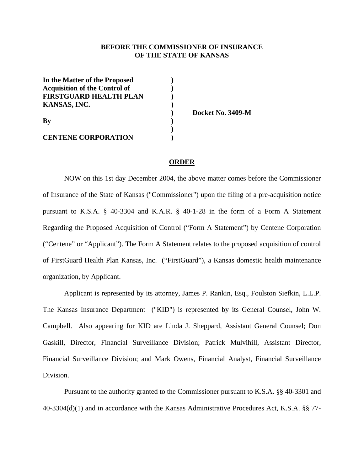#### **BEFORE THE COMMISSIONER OF INSURANCE OF THE STATE OF KANSAS**

| In the Matter of the Proposed        |  |
|--------------------------------------|--|
| <b>Acquisition of the Control of</b> |  |
| <b>FIRSTGUARD HEALTH PLAN</b>        |  |
| KANSAS, INC.                         |  |
| By                                   |  |
|                                      |  |
|                                      |  |
| <b>CENTENE CORPORATION</b>           |  |

 **) Docket No. 3409-M** 

## **ORDER**

 NOW on this 1st day December 2004, the above matter comes before the Commissioner of Insurance of the State of Kansas ("Commissioner") upon the filing of a pre-acquisition notice pursuant to K.S.A. § 40-3304 and K.A.R. § 40-1-28 in the form of a Form A Statement Regarding the Proposed Acquisition of Control ("Form A Statement") by Centene Corporation ("Centene" or "Applicant"). The Form A Statement relates to the proposed acquisition of control of FirstGuard Health Plan Kansas, Inc. ("FirstGuard"), a Kansas domestic health maintenance organization, by Applicant.

Applicant is represented by its attorney, James P. Rankin, Esq., Foulston Siefkin, L.L.P. The Kansas Insurance Department ("KID") is represented by its General Counsel, John W. Campbell. Also appearing for KID are Linda J. Sheppard, Assistant General Counsel; Don Gaskill, Director, Financial Surveillance Division; Patrick Mulvihill, Assistant Director, Financial Surveillance Division; and Mark Owens, Financial Analyst, Financial Surveillance Division.

Pursuant to the authority granted to the Commissioner pursuant to K.S.A. §§ 40-3301 and 40-3304(d)(1) and in accordance with the Kansas Administrative Procedures Act, K.S.A. §§ 77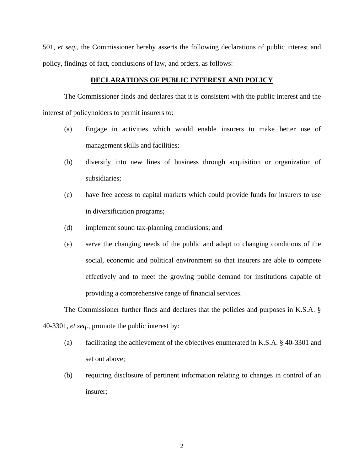501, *et seq.,* the Commissioner hereby asserts the following declarations of public interest and policy, findings of fact, conclusions of law, and orders, as follows:

#### **DECLARATIONS OF PUBLIC INTEREST AND POLICY**

 The Commissioner finds and declares that it is consistent with the public interest and the interest of policyholders to permit insurers to:

- (a) Engage in activities which would enable insurers to make better use of management skills and facilities;
- (b) diversify into new lines of business through acquisition or organization of subsidiaries;
- (c) have free access to capital markets which could provide funds for insurers to use in diversification programs;
- (d) implement sound tax-planning conclusions; and
- (e) serve the changing needs of the public and adapt to changing conditions of the social, economic and political environment so that insurers are able to compete effectively and to meet the growing public demand for institutions capable of providing a comprehensive range of financial services.

The Commissioner further finds and declares that the policies and purposes in K.S.A. §

40-3301, *et seq.,* promote the public interest by:

- (a) facilitating the achievement of the objectives enumerated in K.S.A. § 40-3301 and set out above;
- (b) requiring disclosure of pertinent information relating to changes in control of an insurer;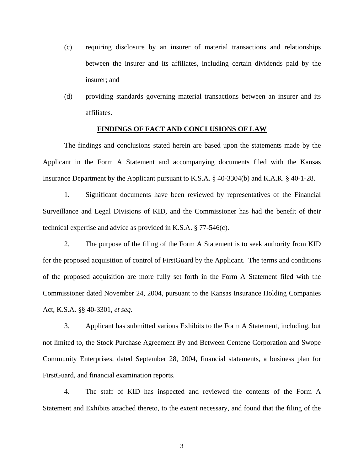- (c) requiring disclosure by an insurer of material transactions and relationships between the insurer and its affiliates, including certain dividends paid by the insurer; and
- (d) providing standards governing material transactions between an insurer and its affiliates.

#### **FINDINGS OF FACT AND CONCLUSIONS OF LAW**

The findings and conclusions stated herein are based upon the statements made by the Applicant in the Form A Statement and accompanying documents filed with the Kansas Insurance Department by the Applicant pursuant to K.S.A. § 40-3304(b) and K.A.R. § 40-1-28.

1. Significant documents have been reviewed by representatives of the Financial Surveillance and Legal Divisions of KID, and the Commissioner has had the benefit of their technical expertise and advice as provided in K.S.A. § 77-546(c).

2. The purpose of the filing of the Form A Statement is to seek authority from KID for the proposed acquisition of control of FirstGuard by the Applicant. The terms and conditions of the proposed acquisition are more fully set forth in the Form A Statement filed with the Commissioner dated November 24, 2004, pursuant to the Kansas Insurance Holding Companies Act, K.S.A. §§ 40-3301, *et seq.* 

3. Applicant has submitted various Exhibits to the Form A Statement, including, but not limited to, the Stock Purchase Agreement By and Between Centene Corporation and Swope Community Enterprises, dated September 28, 2004, financial statements, a business plan for FirstGuard, and financial examination reports.

4. The staff of KID has inspected and reviewed the contents of the Form A Statement and Exhibits attached thereto, to the extent necessary, and found that the filing of the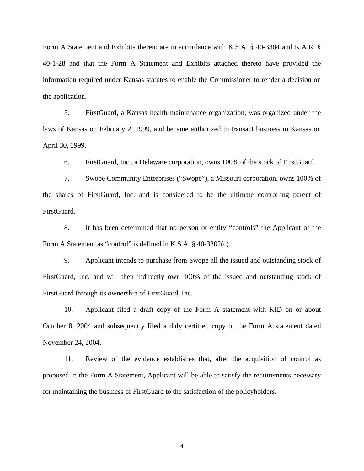Form A Statement and Exhibits thereto are in accordance with K.S.A. § 40-3304 and K.A.R. § 40-1-28 and that the Form A Statement and Exhibits attached thereto have provided the information required under Kansas statutes to enable the Commissioner to render a decision on the application.

5. FirstGuard, a Kansas health maintenance organization, was organized under the laws of Kansas on February 2, 1999, and became authorized to transact business in Kansas on April 30, 1999.

6. FirstGuard, Inc., a Delaware corporation, owns 100% of the stock of FirstGuard.

7. Swope Community Enterprises ("Swope"), a Missouri corporation, owns 100% of the shares of FirstGuard, Inc. and is considered to be the ultimate controlling parent of FirstGuard.

8. It has been determined that no person or entity "controls" the Applicant of the Form A Statement as "control" is defined in K.S.A. § 40-3302(c).

9. Applicant intends to purchase from Swope all the issued and outstanding stock of FirstGuard, Inc. and will then indirectly own 100% of the issued and outstanding stock of FirstGuard through its ownership of FirstGuard, Inc.

10. Applicant filed a draft copy of the Form A statement with KID on or about October 8, 2004 and subsequently filed a duly certified copy of the Form A statement dated November 24, 2004.

11. Review of the evidence establishes that, after the acquisition of control as proposed in the Form A Statement, Applicant will be able to satisfy the requirements necessary for maintaining the business of FirstGuard to the satisfaction of the policyholders.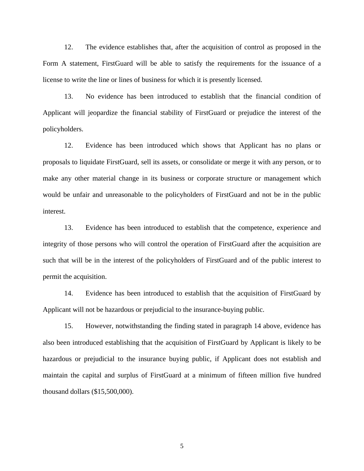12. The evidence establishes that, after the acquisition of control as proposed in the Form A statement, FirstGuard will be able to satisfy the requirements for the issuance of a license to write the line or lines of business for which it is presently licensed.

13. No evidence has been introduced to establish that the financial condition of Applicant will jeopardize the financial stability of FirstGuard or prejudice the interest of the policyholders.

12. Evidence has been introduced which shows that Applicant has no plans or proposals to liquidate FirstGuard, sell its assets, or consolidate or merge it with any person, or to make any other material change in its business or corporate structure or management which would be unfair and unreasonable to the policyholders of FirstGuard and not be in the public interest.

13. Evidence has been introduced to establish that the competence, experience and integrity of those persons who will control the operation of FirstGuard after the acquisition are such that will be in the interest of the policyholders of FirstGuard and of the public interest to permit the acquisition.

14. Evidence has been introduced to establish that the acquisition of FirstGuard by Applicant will not be hazardous or prejudicial to the insurance-buying public.

15. However, notwithstanding the finding stated in paragraph 14 above, evidence has also been introduced establishing that the acquisition of FirstGuard by Applicant is likely to be hazardous or prejudicial to the insurance buying public, if Applicant does not establish and maintain the capital and surplus of FirstGuard at a minimum of fifteen million five hundred thousand dollars (\$15,500,000).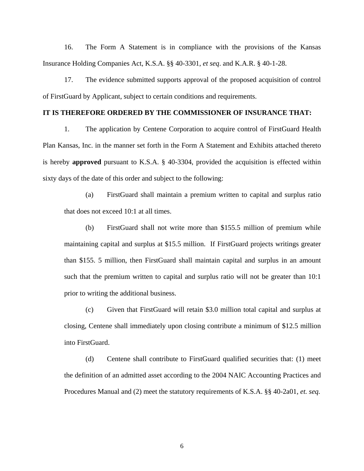16. The Form A Statement is in compliance with the provisions of the Kansas Insurance Holding Companies Act, K.S.A. §§ 40-3301, *et seq*. and K.A.R. § 40-1-28.

17. The evidence submitted supports approval of the proposed acquisition of control of FirstGuard by Applicant, subject to certain conditions and requirements.

# **IT IS THEREFORE ORDERED BY THE COMMISSIONER OF INSURANCE THAT:**

1. The application by Centene Corporation to acquire control of FirstGuard Health Plan Kansas, Inc. in the manner set forth in the Form A Statement and Exhibits attached thereto is hereby **approved** pursuant to K.S.A. § 40-3304, provided the acquisition is effected within sixty days of the date of this order and subject to the following:

(a) FirstGuard shall maintain a premium written to capital and surplus ratio that does not exceed 10:1 at all times.

(b) FirstGuard shall not write more than \$155.5 million of premium while maintaining capital and surplus at \$15.5 million. If FirstGuard projects writings greater than \$155. 5 million, then FirstGuard shall maintain capital and surplus in an amount such that the premium written to capital and surplus ratio will not be greater than 10:1 prior to writing the additional business.

(c) Given that FirstGuard will retain \$3.0 million total capital and surplus at closing, Centene shall immediately upon closing contribute a minimum of \$12.5 million into FirstGuard.

(d) Centene shall contribute to FirstGuard qualified securities that: (1) meet the definition of an admitted asset according to the 2004 NAIC Accounting Practices and Procedures Manual and (2) meet the statutory requirements of K.S.A. §§ 40-2a01, *et. seq.*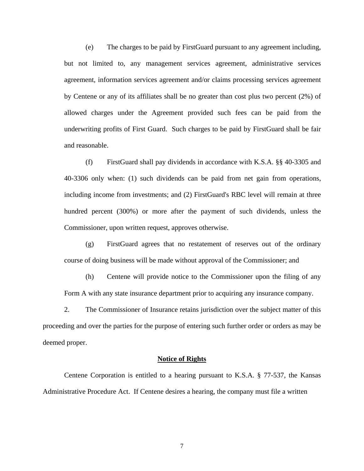(e) The charges to be paid by FirstGuard pursuant to any agreement including, but not limited to, any management services agreement, administrative services agreement, information services agreement and/or claims processing services agreement by Centene or any of its affiliates shall be no greater than cost plus two percent (2%) of allowed charges under the Agreement provided such fees can be paid from the underwriting profits of First Guard. Such charges to be paid by FirstGuard shall be fair and reasonable.

(f) FirstGuard shall pay dividends in accordance with K.S.A. §§ 40-3305 and 40-3306 only when: (1) such dividends can be paid from net gain from operations, including income from investments; and (2) FirstGuard's RBC level will remain at three hundred percent (300%) or more after the payment of such dividends, unless the Commissioner, upon written request, approves otherwise.

(g) FirstGuard agrees that no restatement of reserves out of the ordinary course of doing business will be made without approval of the Commissioner; and

(h) Centene will provide notice to the Commissioner upon the filing of any Form A with any state insurance department prior to acquiring any insurance company.

2. The Commissioner of Insurance retains jurisdiction over the subject matter of this proceeding and over the parties for the purpose of entering such further order or orders as may be deemed proper.

#### **Notice of Rights**

 Centene Corporation is entitled to a hearing pursuant to K.S.A. § 77-537, the Kansas Administrative Procedure Act. If Centene desires a hearing, the company must file a written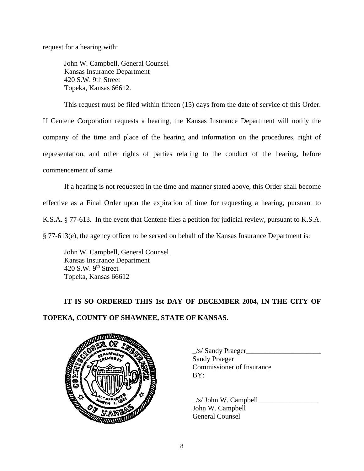request for a hearing with:

John W. Campbell, General Counsel Kansas Insurance Department 420 S.W. 9th Street Topeka, Kansas 66612.

This request must be filed within fifteen (15) days from the date of service of this Order.

If Centene Corporation requests a hearing, the Kansas Insurance Department will notify the company of the time and place of the hearing and information on the procedures, right of representation, and other rights of parties relating to the conduct of the hearing, before commencement of same.

 If a hearing is not requested in the time and manner stated above, this Order shall become effective as a Final Order upon the expiration of time for requesting a hearing, pursuant to K.S.A. § 77-613. In the event that Centene files a petition for judicial review, pursuant to K.S.A. § 77-613(e), the agency officer to be served on behalf of the Kansas Insurance Department is:

 John W. Campbell, General Counsel Kansas Insurance Department 420 S.W.  $9<sup>th</sup>$  Street Topeka, Kansas 66612

# **IT IS SO ORDERED THIS 1st DAY OF DECEMBER 2004, IN THE CITY OF TOPEKA, COUNTY OF SHAWNEE, STATE OF KANSAS.**



 $\frac{1}{s}$  Sandy Praeger Sandy Praeger Commissioner of Insurance

 $/s/$  John W. Campbell John W. Campbell General Counsel